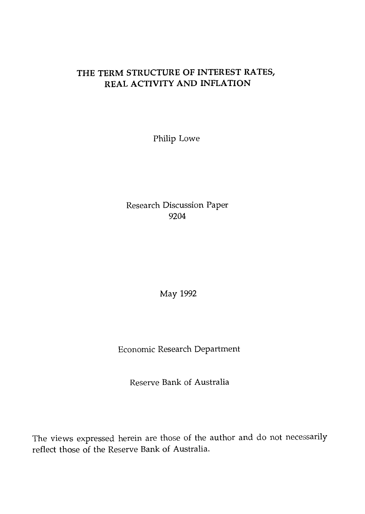# **THE TERM STRUCTURE OF INTEREST RATES, REAL ACTIVITY AND INFLATION**

Philip Lowe

Research Discussion Paper 9204

May 1992

Economic Research Department

Reserve Bank of Australia

The views expressed herein are those of the author and do not necessarily reflect those of the Reserve Bank of Australia.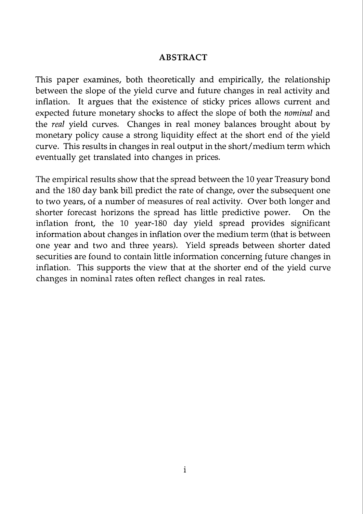# **ABSTRACT**

This paper examines, both theoretically and empirically, the relationship between the slope of the yield curve and future changes in real activity and inflation. It argues that the existence of sticky prices allows current and expected future monetary shocks to affect the slope of both the *nominal* and the *real* yield curves. Changes in real money balances brought about by monetary policy cause a strong liquidity effect at the short end of the yield curve. This results in changes in real output in the short/medium term which eventually get translated into changes in prices.

The empirical results show that the spread between the 10 year Treasury bond and the 180 day bank bill predict the rate of change, over the subsequent one to two years, of a number of measures of real activity. Over both longer and shorter forecast horizons the spread has little predictive power. On the inflation front, the 10 year-180 day yield spread provides significant information about changes in inflation over the medium term (that is between one year and two and three years). Yield spreads between shorter dated securities are found to contain little information concerning future changes in inflation. This supports the view that at the shorter end of the yield curve changes in nominal rates often reflect changes in real rates.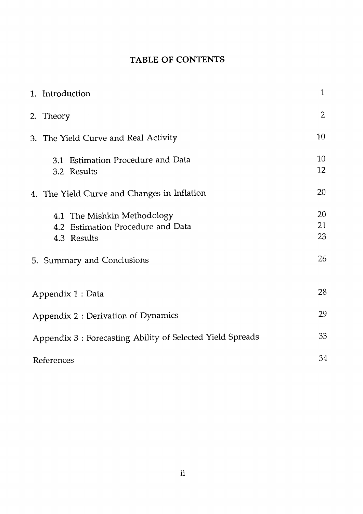# TABLE OF CONTENTS

| 1. Introduction                                                                 | $\mathbf 1$    |  |  |  |  |  |  |  |
|---------------------------------------------------------------------------------|----------------|--|--|--|--|--|--|--|
| 2. Theory                                                                       | $\overline{2}$ |  |  |  |  |  |  |  |
| 3. The Yield Curve and Real Activity                                            | 10             |  |  |  |  |  |  |  |
| 3.1 Estimation Procedure and Data<br>3.2 Results                                | 10<br>12       |  |  |  |  |  |  |  |
| 4. The Yield Curve and Changes in Inflation                                     | 20             |  |  |  |  |  |  |  |
| 4.1 The Mishkin Methodology<br>4.2 Estimation Procedure and Data<br>4.3 Results | 20<br>21<br>23 |  |  |  |  |  |  |  |
| 5. Summary and Conclusions                                                      | 26             |  |  |  |  |  |  |  |
| Appendix 1 : Data                                                               | 28             |  |  |  |  |  |  |  |
| Appendix 2 : Derivation of Dynamics                                             | 29             |  |  |  |  |  |  |  |
| 33<br>Appendix 3 : Forecasting Ability of Selected Yield Spreads                |                |  |  |  |  |  |  |  |
| 34<br>References                                                                |                |  |  |  |  |  |  |  |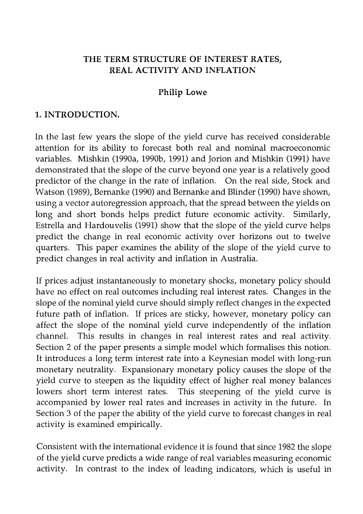# **THE TERM STRUCTURE OF INTEREST RATES, REAL ACTIVITY AND INFLATION**

# **Philip Lowe**

# **1. INTRODUCTION.**

In the last few years the slope of the yield curve has received considerable attention for its ability to forecast both real and nominal macroeconomic variables. Mishkin (1990a, 1990b, 1991) and Jorion and Mishkin (1991) have demonstrated that the slope of the curve beyond one year is a relatively good predictor of the change in the rate of inflation. On the real side, Stock and Watson (1989), Bernanke (1990) and Bernanke and Blinder (1990) have shown, using a vector autoregression approach, that the spread between the yields on long and short bonds helps predict future economic activity. Similarly, Estrella and Hardouvelis (1991) show that the slope of the yield curve helps predict the change in real economic activity over horizons out to twelve quarters. This paper examines the ability of the slope of the yield curve to predict changes in real activity and inflation in Australia.

If prices adjust instantaneously to monetary shocks, monetary policy should have no effect on real outcomes including real interest rates. Changes in the slope of the nominal yield curve should simply reflect changes in the expected future path of inflation. If prices are sticky, however, monetary policy can affect the slope of the nominal yield curve independently of the inflation channel. This results in changes in real interest rates and real activity. Section 2 of the paper presents a simple model which formalises this notion. It introduces a long term interest rate into a Keynesian model with long-run monetary neutrality. Expansionary monetary policy causes the slope of the yield curve to steepen as the liquidity effect of higher real money balances lowers short term interest rates. This steepening of the yield curve is accompanied by lower real rates and increases in activity in the future. In Section *3* of the paper the ability of the yield curve to forecast changes in real activity is examined empirically.

Consistent with the international evidence it is found that since 1982 the slope of the yield curve predicts a wide range of real variables measuring economic activity. In contrast to the index of leading indicators, which is useful in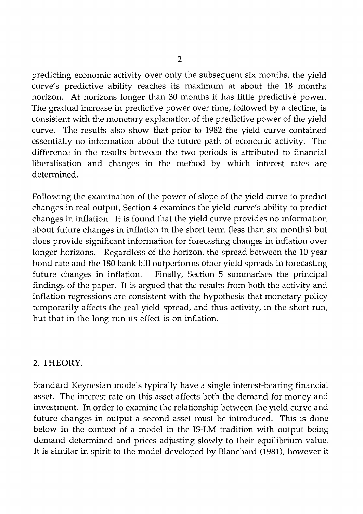predicting economic activity over only the subsequent six months, the yield curve's predictive ability reaches its maximum at about the 18 months horizon. At horizons longer than 30 months it has little predictive power. The gradual increase in predictive power over time, followed by a decline, is consistent with the monetary explanation of the predictive power of the yield curve. The results also show that prior to 1982 the yield curve contained essentially no information about the future path of economic activity. The difference in the results between the two periods is attributed to financial liberalisation and changes in the method by which interest rates are determined.

Following the examination of the power of slope of the yield curve to predict changes in real output, Section 4 examines the yield curve's ability to predict changes in inflation. It is found that the yield curve provides no information about future changes in inflation in the short term (less than six months) but does provide significant information for forecasting changes in inflation over longer horizons. Regardless of the horizon, the spread between the 10 year bond rate and the 180 bank bill outperforms other yield spreads in forecasting future changes in inflation. Finally, Section 5 summarises the principal findings of the paper. It is argued that the results from both the activity and inflation regressions are consistent with the hypothesis that monetary policy temporarily affects the real yield spread, and thus activity, in the short run, but that in the long run its effect is on inflation.

## *2.* THEORY.

Standard Keynesian models typically have a single interest-bearing financial asset. The interest rate on this asset affects both the demand for money and investment. In order to examine the relationship between the yield curve and future changes in output a second asset must be introduced. This is done below in the context of a model in the IS-LM tradition with output being demand determined and prices adjusting slowly to their equilibrium value. It is similar in spirit to the model developed by Blanchard (1981); however it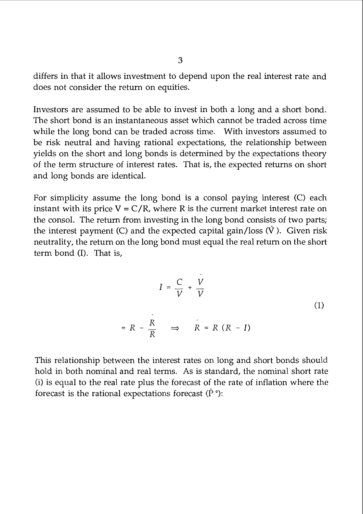3

differs in that it allows investment to depend upon the real interest rate and does not consider the return on equities.

Investors are assumed to be able to invest in both a long and a short bond. The short bond is an instantaneous asset which cannot be traded across time while the long bond can be traded across time. With investors assumed to be risk neutral and having rational expectations, the relationship between yields on the short and long bonds is determined by the expectations theory of the term structure of interest rates. That is, the expected returns on short and long bonds are identical.

For simplicity assume the long bond is a consol paying interest (C) each instant with its price  $V = C/R$ , where R is the current market interest rate on the consol. The return from investing in the long bond consists of two parts; the interest payment  $(C)$  and the expected capital gain/loss  $(\dot{V})$ . Given risk neutrality, the return on the long bond must equal the real return on the short term bond (I). That is,

$$
I = \frac{C}{V} + \frac{V}{V}
$$
  
=  $R - \frac{R}{R} \implies R = R (R - I)$  (1)

This relationship between the interest rates on long and short bonds should hold in both nominal and real terms. As is standard, the nominal short rate (i) is equal to the real rate plus the forecast of the rate of inflation where the forecast is the rational expectations forecast  $(\dot{P}^e)$ :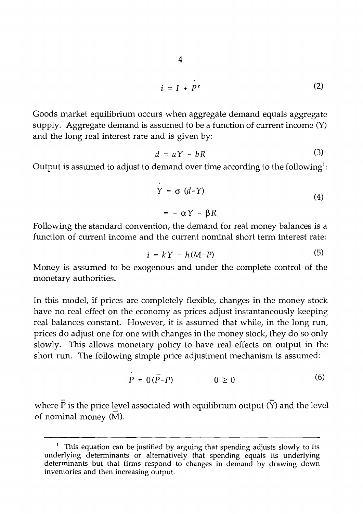$$
i = I + Pe
$$
 (2)

Goods market equilibrium occurs when aggregate demand equals aggregate supply. Aggregate demand is assumed to be a function of current income (Y) and the long real interest rate and is given by:

$$
d = aY - bR \tag{3}
$$

Output is assumed to adjust to demand over time according to the following<sup>1</sup>:

$$
Y = \sigma (d - Y)
$$
  
=  $-\alpha Y - \beta R$  (4)

Following the standard convention, the demand for real money balances is a function of current income and the current nominal short term interest rate:

$$
i = kY - h(M-P) \tag{5}
$$

Money is assumed to be exogenous and under the complete control of the monetary authorities.

In this model, if prices are completely flexible, changes in the money stock have no real effect on the economy as prices adjust instantaneously keeping real balances constant. However, it is assumed that while, in the long run, prices do adjust one for one with changes in the money stock, they do so only slowly. This allows monetary policy to have real effects on output in the short run. The following simple price adjustment mechanism is assumed:

$$
P = \theta(\bar{P} - P) \qquad \qquad \theta \ge 0 \tag{6}
$$

where  $\overline{P}$  is the price level associated with equilibrium output  $(\overline{Y})$  and the level of nominal money **(M).** 

<sup>&</sup>lt;sup>1</sup> This equation can be justified by arguing that spending adjusts slowly to its underlying determinants or alternatively that spending equals its underlying determinants but that firms respond to changes in demand by drawing down inventories and then increasing output.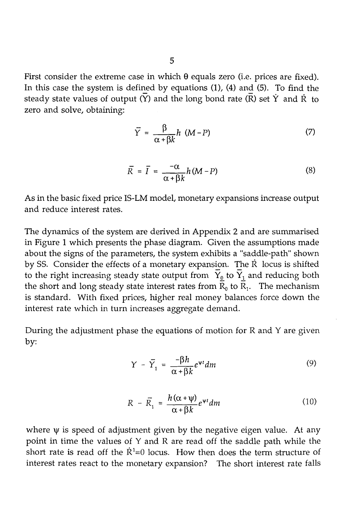First consider the extreme case in which  $\theta$  equals zero (i.e. prices are fixed). In this case the system is defined by equations  $(1)$ ,  $(4)$  and  $(5)$ . To find the steady state values of output  $(\overline{Y})$  and the long bond rate  $(\overline{R})$  set  $\dot{Y}$  and  $\dot{R}$  to zero and solve, obtaining:

$$
\bar{Y} = \frac{\beta}{\alpha + \beta k} h \ (M - P) \tag{7}
$$

$$
\overline{R} = \overline{I} = \frac{-\alpha}{\alpha + \beta k} h(M - P)
$$
 (8)

As in the basic fixed price IS-LM model, monetary expansions increase output and reduce interest rates.

The dynamics of the system are derived in Appendix 2 and are summarised in Figure 1 which presents the phase diagram. Given the assumptions made about the signs of the parameters, the system exhibits a "saddle-path" shown by SS. Consider the effects of a monetary expansion. The  $\dot{R}$  locus is shifted to the right increasing steady state output from  $\overline{Y}_0$  to  $\overline{Y}_1$  and reducing both the short and long steady state interest rates from  $\overline{R}_0$  to  $\overline{R}_1$ . The mechanism is standard. With fixed prices, higher real money balances force down the interest rate which in turn increases aggregate demand.

During the adjustment phase the equations of motion for R and Y are, given by:

$$
Y - \overline{Y}_1 = \frac{-\beta h}{\alpha + \beta k} e^{\psi t} dm \tag{9}
$$

$$
R - \overline{R}_1 = \frac{h(\alpha + \psi)}{\alpha + \beta k} e^{\psi t} dm
$$
 (10)

where  $\psi$  is speed of adjustment given by the negative eigen value. At any point in time the values of Y and R are read off the saddle path while the short rate is read off the  $\dot{R}^1=0$  locus. How then does the term structure of interest rates react to the monetary expansion? The short interest rate falls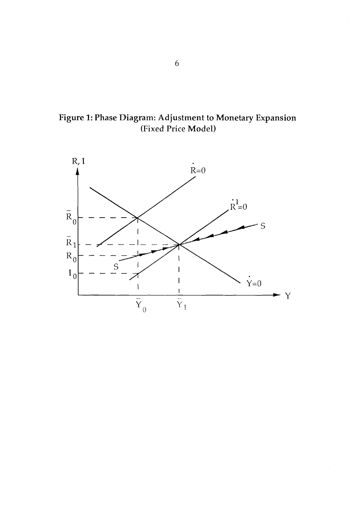

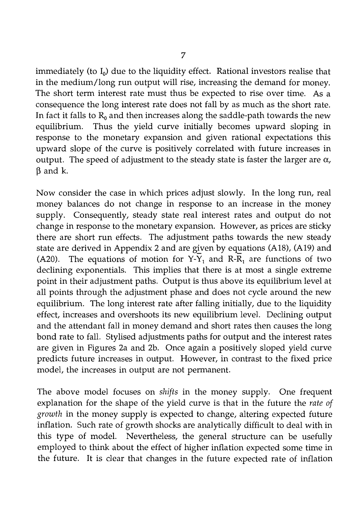immediately (to  $I_0$ ) due to the liquidity effect. Rational investors realise that in the medium/long run output will rise, increasing the demand for money. The short term interest rate must thus be expected to rise over time. As a consequence the long interest rate does not fall by as much as the short rate. In fact it falls to *R,* and then increases along the saddle-path towards the new equilibrium. Thus the yield curve initially becomes upward sloping in response to the monetary expansion and given rational expectations this upward slope of the curve is positively correlated with future increases in output. The speed of adjustment to the steady state is faster the larger are *a,*   $\beta$  and k.

Now consider the case in which prices adjust slowly. In the long run, real money balances do not change in response to an increase in the money supply. Consequently, steady state real interest rates and output do not change in response to the monetary expansion. However, as prices are sticky there are short run effects. The adjustment paths towards the new steady state are derived in Appendix 2 and are given by equations (A18), (A19) and (A20). The equations of motion for  $Y-Y_1$  and  $R-R_1$  are functions of two declining exponentials. This implies that there is at most a single extreme point in their adjustment paths. Output is thus above its equilibrium level at all points through the adjustment phase and does not cycle around the new equilibrium. The long interest rate after falling initially, due to the liquidity effect, increases and overshoots its new equilibrium level. Declining output and the attendant fall in money demand and short rates then causes the long bond rate to fall. Stylised adjustments paths for output and the interest rates are given in Figures 2a and 2b. Once again a positively sloped yield curve predicts future increases in output. However, in contrast to the fixed price model, the increases in output are not permanent.

The above model focuses on *shifts* in the money supply. One frequent explanation for the shape of the yield curve is that in the future the *rate of growth* in the money supply is expected to change, altering expected future inflation. Such rate of growth shocks are analytically difficult to deal with in this type of model. Nevertheless, the general structure can be usefully employed to think about the effect of higher inflation expected some time in the future. It is clear that changes in the future expected rate of inflation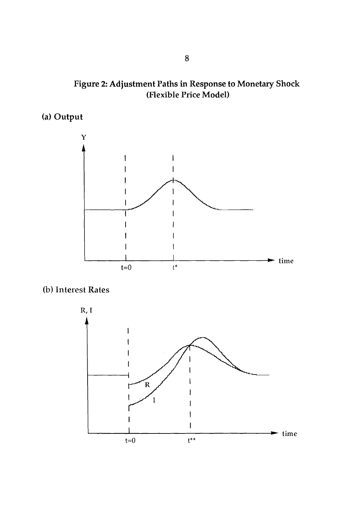**Figure 2: Adjustment Paths in Response to Monetary Shock (Flexible Price Model)** 

**(a) Output** 



(b) **Interest Rates** 

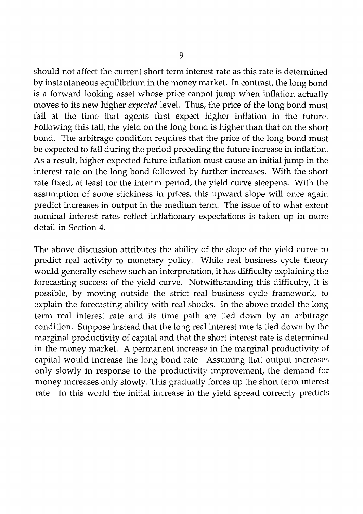should not affect the current short term interest rate as this rate is determined by instantaneous equilibrium in the money market. In contrast, the long bond is a forward looking asset whose price cannot jump when inflation actually moves to its new higher *expected* level. Thus, the price of the long bond must fall at the time that agents first expect higher inflation in the future. Following this fall, the yield on the long bond is higher than that on the short bond. The arbitrage condition requires that the price of the long bond must be expected to fall during the period preceding the future increase in inflation. As a result, higher expected future inflation must cause an initial jump in the interest rate on the long bond followed by further increases. With the short rate fixed, at least for the interim period, the yield curve steepens. With the assumption of some stickiness in prices, this upward slope will once again predict increases in output in the medium term. The issue of to what extent nominal interest rates reflect inflationary expectations is taken up in more detail in Section 4.

The above discussion attributes the ability of the slope of the yield curve to predict real activity to monetary policy. While real business cycle theory would generally eschew such an interpretation, it has difficulty explaining the forecasting success of the yield curve. Notwithstanding this difficulty, it is possible, by moving outside the strict real business cycle framework, to explain the forecasting ability with real shocks. In the above model the long term real interest rate and its time path are tied down by an arbitrage condition. Suppose instead that the long real interest rate is tied down by the marginal productivity of capital and that the short interest rate is determined in the money market. A permanent increase in the marginal productivity of capital would increase the long bond rate. Assuming that output increases only slowly in response to the productivity improvement, the demand for money increases only slowly. This gradually forces up the short term interest rate. In this world the initial increase in the yield spread correctly predicts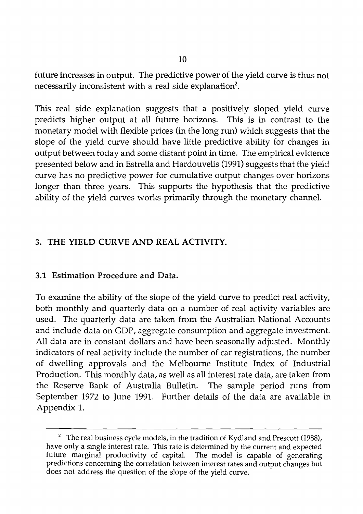future increases in output. The predictive power of the yield curve is thus not necessarily inconsistent with a real side explanation<sup>2</sup>.

This real side explanation suggests that a positively sloped yield curve predicts higher output at all future horizons. This is in contrast to the monetary model with flexible prices (in the long run) which suggests that the slope of the yield curve should have little predictive ability for changes in output between today and some distant point in time. The empirical evidence presented below and in Estrella and Hardouvelis (1991) suggests that the yield curve has no predictive power for cumulative output changes over horizons longer than three years. This supports the hypothesis that the predictive ability of the yield curves works primarily through the monetary channel.

# 3. THE MELD CURVE AND REAL ACTIVITY.

### 3.1 Estimation Procedure and Data.

To examine the ability of the slope of the yield curve to predict real activity, both monthly and quarterly data on a number of real activity variables are used. The quarterly data are taken from the Australian National Accounts and include data on GDP, aggregate consumption and aggregate investment. All data are in constant dollars and have been seasonally adjusted. Monthly indicators of real activity include the number of car registrations, the number of dwelling approvals and the Melbourne Institute Index of Industrial Production. This monthly data, as well as all interest rate data, are taken from the Reserve Bank of Australia Bulletin. The sample period runs from September 1972 to June 1991. Further details of the data are available in Appendix 1.

<sup>&</sup>lt;sup>2</sup> The real business cycle models, in the tradition of Kydland and Prescott (1988), have only a single interest rate. This rate is determined by the current and expected future marginal productivity of capital. The model is capable of generating predictions concerning the correlation between interest rates and output changes but does not address the question of the slope of the yield curve.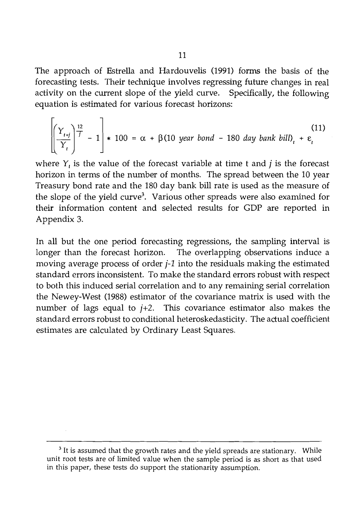The approach of Estrella and Hardouvelis *(1991)* forms the basis of the forecasting tests. Their technique involves regressing future changes in real activity on the current slope of the yield curve. Specifically, the following equation is estimated for various forecast horizons:

ation is estimated for various forecast horizons:  
\n
$$
\left[\left(\frac{Y_{t+j}}{Y_t}\right)^{\frac{12}{f}} - 1\right] * 100 = \alpha + \beta(10 \text{ year bond} - 180 \text{ day bank bill})_t + \varepsilon_t
$$
\n(11)

where  $Y$ , is the value of the forecast variable at time t and  $j$  is the forecast horizon in terms of the number of months. The spread between the *10* year Treasury bond rate and the *180* day bank bill rate is used as the measure of the slope of the yield curve<sup>3</sup>. Various other spreads were also examined for their information content and selected results for GDP are reported in Appendix 3.

In all but the one period forecasting regressions, the sampling interval is longer than the forecast horizon. The overlapping observations induce a moving average process of order  $j-1$  into the residuals making the estimated standard errors inconsistent. To make the standard errors robust with respect to both this induced serial correlation and to any remaining serial correlation the Newey-West *(1988)* estimator of the covariance matrix is used with the number of lags equal to *j+2.* This covariance estimator also makes the standard errors robust to conditional heteroskedasticity. The actual coefficient estimates are calculated by Ordinary Least Squares.

 $3$  It is assumed that the growth rates and the yield spreads are stationary. While unit root tests are of limited value when the sample period is as short as that used in this paper, these tests do support the stationarity assumption.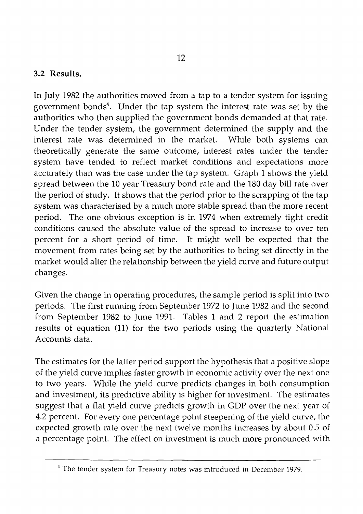### **3.2 Results.**

In July 1982 the authorities moved from a tap to a tender system for issuing government bonds4. Under the tap system the interest rate was set by the authorities who then supplied the government bonds demanded at that rate. Under the tender system, the government determined the supply and the interest rate was determined in the market. While both systems can theoretically generate the same outcome, interest rates under the tender system have tended to reflect market conditions and expectations more accurately than was the case under the tap system. Graph 1 shows the yield spread between the 10 year Treasury bond rate and the 180 day bill rate over the period of study. It shows that the period prior to the scrapping of the tap system was characterised by a much more stable spread than the more recent period. The one obvious exception is in 1974 when extremely tight credit conditions caused the absolute value of the spread to increase to over ten percent for a short period of time. It might well be expected that the movement from rates being set by the authorities to being set directly in the market would alter the relationship between the yield curve and future output changes.

Given the change in operating procedures, the sample period is split into two periods. The first running from September 1972 to June 1982 and the second from September 1982 to June 1991. Tables 1 and 2 report the estimation results of equation (11) for the two periods using the quarterly National Accounts data.

The estimates for the latter period support the hypothesis that a positive slope of the yield curve implies faster growth in economic activity over the next one to two years. While the yield curve predicts changes in both consumption and investment, its predictive ability is higher for investment. The estimates suggest that a flat yield curve predicts growth in GDP over the next year of 4.2 percent. For every one percentage point steepening of the yield curve, the expected growth rate over the next twelve months increases by about 0.5 of a percentage point. The effect on investment is much more pronounced with - --

**<sup>4</sup>** The tender system for Treasury notes was introduced in December 1979.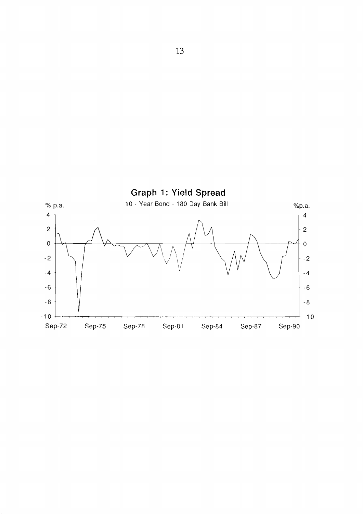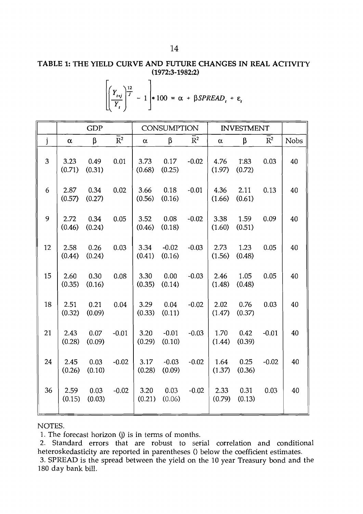# **TABLE 1: THE YIELD CURVE AND FUTURE CHANGES IN REAL ACTIVITY (1972:3-1982:2)**

|                |                |                           |                                                                                                                       |                | 14                           |                  |                |                                                              |                  |             |
|----------------|----------------|---------------------------|-----------------------------------------------------------------------------------------------------------------------|----------------|------------------------------|------------------|----------------|--------------------------------------------------------------|------------------|-------------|
|                |                |                           |                                                                                                                       |                | $(1972:3-1982:2)$            |                  |                | TABLE 1: THE YIELD CURVE AND FUTURE CHANGES IN REAL ACTIVITY |                  |             |
|                |                |                           | $\frac{12}{l}$<br>$\left[\left(\frac{r_{ij}}{Y_i}\right)' - 1\right] * 100 = \alpha + \beta SPREAD_i + \varepsilon_i$ |                |                              |                  |                |                                                              |                  |             |
|                |                | GDP                       |                                                                                                                       |                | <b>CONSUMPTION</b>           |                  |                | <b>INVESTMENT</b>                                            |                  |             |
| j              | $\alpha$       | $\beta$                   | $\overline{R^2}$                                                                                                      | $\alpha$       | β                            | $\overline{R}^2$ | $\alpha$       | $\beta$                                                      | $\overline{R}^2$ | <b>Nobs</b> |
| $\mathfrak{Z}$ | 3.23<br>(0.71) | 0.49<br>(0.31)            | 0.01                                                                                                                  | 3.73           | 0.17                         | $-0.02$          | 4.76           | 1.83                                                         | 0.03             |             |
|                |                |                           |                                                                                                                       | (0.68)         | (0.25)                       |                  | (1.97)         | (0.72)                                                       |                  | 40          |
| 6              | 2.87<br>(0.57) | 0.34<br>(0.27)            | 0.02                                                                                                                  | 3.66<br>(0.56) | 0.18<br>(0.16)               | $-0.01$          | 4.36<br>(1.66) | 2.11<br>(0.61)                                               | 0.13             | 40          |
| 9              | 2.72<br>(0.46) | 0.34<br>(0.24)            | 0.05                                                                                                                  | 3.52<br>(0.46) | 0.08<br>(0.18)               | $-0.02$          | 3.38<br>(1.60) | 1.59<br>(0.51)                                               | 0.09             | 40          |
| 12             | 2.58<br>(0.44) | 0.26<br>(0.24)            | 0.03                                                                                                                  | 3.34<br>(0.41) | $-0.02$<br>(0.16)            | $-0.03$          | 2.73<br>(1.56) | 1.23<br>(0.48)                                               | 0.05             | 40          |
| 15             | 2.60<br>(0.35) | 0.30<br>(0.16)            | 0.08                                                                                                                  | 3.30<br>(0.35) | 0.00<br>(0.14)               | $-0.03$          | 2.46<br>(1.48) | 1.05<br>(0.48)                                               | 0.05             | 40          |
| 18             | 2.51<br>(0.32) | 0.21<br>(0.09)            | 0.04                                                                                                                  | 3.29<br>(0.33) | 0.04<br>(0.11)               | $-0.02$          | 2.02<br>(1.47) | 0.76<br>(0.37)                                               | 0.03             | 40          |
| 21             | 2.43<br>(0.28) | $0.07\,$<br>(0.09)        | $-0.01$                                                                                                               | 3.20<br>(0.29) | $-0.01$<br>(0.10)            | $-0.03$          | 1.70<br>(1.44) | 0.42<br>(0.39)                                               | $-0.01$          | 40          |
| 24             | 2.45           | 0.03<br>$(0.26)$ $(0.10)$ | $-0.02$                                                                                                               | 3.17           | $-0.03$<br>$(0.28)$ $(0.09)$ | $-0.02$          | 1.64           | 0.25<br>$(1.37)$ $(0.36)$                                    | $-0.02$          | 40          |

#### NOTES.

1. The forecast horizon (j) is in terms of months.

2. Standard errors that are robust to serial correlation and conditional heteroskedasticity are reported in parentheses () below the coefficient estimates. **3.** SPREAD is the spread between the yield on the 10 year Treasury bond and the 180 day bank bill.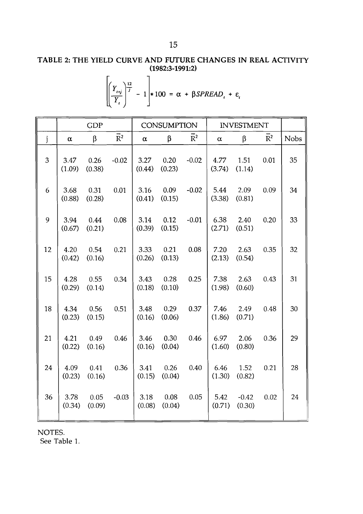### **TABLE 2: THE YIELD CURVE AND FUTURE CHANGES IN REAL ACTIVITY (1982:3-1991:Z)**

|    |                | <b>GDP</b>     |                  |                | <b>CONSUMPTION</b>    |                           |                | <b>INVESTMENT</b>   |                |             |
|----|----------------|----------------|------------------|----------------|-----------------------|---------------------------|----------------|---------------------|----------------|-------------|
| j  | $\alpha$       | β              | $\overline{R}^2$ | α              | β                     | $\overline{\mathrm{R}}^2$ | $\alpha$       | β                   | $\mathbb{R}^2$ | <b>Nobs</b> |
| 3  | 3.47<br>(1.09) | 0.26<br>(0.38) | $-0.02$          | 3.27<br>(0.44) | 0.20<br>(0.23)        | $-0.02$                   | 4.77<br>(3.74) | 1.51<br>(1.14)      | 0.01           | 35          |
| 6  | 3.68<br>(0.88) | 0.31<br>(0.28) | 0.01             | 3.16<br>(0.41) | 0.09<br>(0.15)        | $-0.02$                   | 5.44<br>(3.38) | 2.09<br>(0.81)      | 0.09           | 34          |
| 9  | 3.94<br>(0.67) | 0.44<br>(0.21) | 0.08             | (0.39)         | $3.14$ 0.12<br>(0.15) | $-0.01$                   | (2.71)         | 6.38 2.40<br>(0.51) | 0.20           | 33          |
| 12 | 4.20<br>(0.42) | 0.54<br>(0.16) | 0.21             | 3.33<br>(0.26) | 0.21<br>(0.13)        | 0.08                      | 7.20<br>(2.13) | 2.63<br>(0.54)      | 0.35           | 32          |
| 15 | 4.28<br>(0.29) | 0.55<br>(0.14) | 0.34             | (0.18)         | 3.43 0.28<br>(0.10)   | 0.25                      | 7.38<br>(1.98) | 2.63<br>(0.60)      | 0.43           | 31          |
| 18 | 4.34<br>(0.23) | 0.56<br>(0.15) | 0.51             | 3.48<br>(0.16) | 0.29<br>(0.06)        | 0.37                      | 7.46<br>(1.86) | 2.49<br>(0.71)      | 0.48           | 30          |
| 21 | 4.21<br>(0.22) | 0.49<br>(0.16) | 0.46             | 3.46<br>(0.16) | 0.30<br>(0.04)        | 0.46                      | 6.97<br>(1.60) | 2.06<br>(0.80)      | 0.36           | 29          |
| 24 | 4.09<br>(0.23) | 0.41<br>(0.16) | 0.36             | (0.15)         | 3.41 0.26<br>(0.04)   | 0.40                      | 6.46<br>(1.30) | 1.52<br>(0.82)      | 0.21           | 28          |
| 36 | 3.78<br>(0.34) | 0.05<br>(0.09) | $-0.03$          | 3.18<br>(0.08) | 0.08<br>(0.04)        | 0.05                      | 5.42<br>(0.71) | $-0.42$<br>(0.30)   | 0.02           | 24          |

$$
\left(\frac{Y_{i+j}}{Y_i}\right)^{\frac{12}{j}} - 1 \bigg] * 100 = \alpha + \beta SPREAD_i + \dots
$$

 $\epsilon_{\iota}$ 

NOTES.

See Table 1.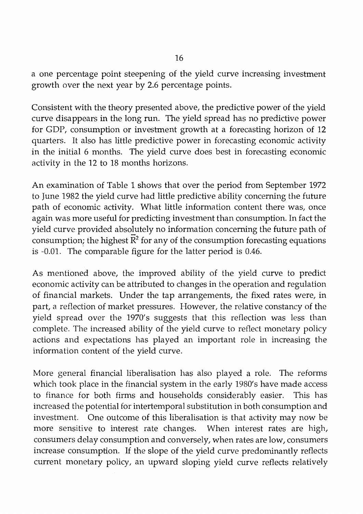a one percentage point steepening of the yield curve increasing investment growth over the next year by 2.6 percentage points.

Consistent with the theory presented above, the predictive power of the yield curve disappears in the long run. The yield spread has no predictive power for GDP, consumption or investment growth at a forecasting horizon of 12 quarters. It also has little predictive power in forecasting economic activity in the initial 6 months. The yield curve does best in forecasting economic activity in the 12 to 18 months horizons.

An examination of Table 1 shows that over the period from September 1972 to June 1982 the yield curve had little predictive ability concerning the future path of economic activity. What little information content there was, once again was more useful for predicting investment than consumption. In fact the yield curve provided absolutely no information concerning the future path of consumption; the highest  $\overline{R}^2$  for any of the consumption forecasting equations is -0.01. The comparable figure for the latter period is 0.46.

As mentioned above, the improved ability of the yield curve to predict economic activity can be attributed to changes in the operation and regulation of financial markets. Under the tap arrangements, the fixed rates were, in part, a reflection of market pressures. However, the relative constancy of the yield spread over the 1970's suggests that this reflection was less than complete. The increased ability of the yield curve to reflect monetary policy actions and expectations has played an important role in increasing the information content of the yield curve.

More general financial liberalisation has also played a role. The reforms which took place in the financial system in the early 1980's have made access to finance for both firms and households considerably easier. This has increased the potential for intertemporal substitution in both consumption and investment. One outcome of this liberalisation is that activity may now be more sensitive to interest rate changes. When interest rates are high, consumers delay consumption and conversely, when rates are low, consumers increase consumption. If the slope of the yield curve predominantly reflects current monetary policy, an upward sloping yield curve reflects relatively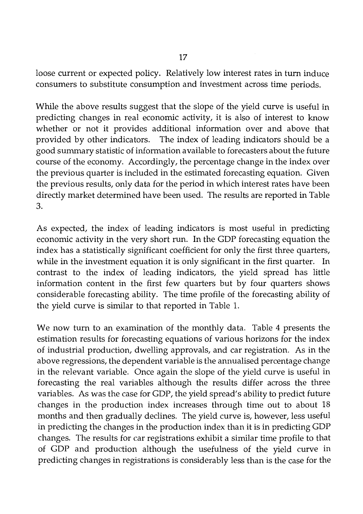loose current or expected policy. Relatively low interest rates in turn induce consumers to substitute consumption and investment across time periods.

While the above results suggest that the slope of the yield curve is useful in predicting changes in real economic activity, it is also of interest to know whether or not it provides additional information over and above that provided by other indicators. The index of leading indicators should be a good summary statistic of information available to forecasters about the future course of the economy. Accordingly, the percentage change in the index over the previous quarter is included in the estimated forecasting equation. Given the previous results, only data for the period in which interest rates have been directly market determined have been used. The results are reported in Table **3.** 

As expected, the index of leading indicators is most useful in predicting economic activity in the very short run. In the GDP forecasting equation the index has a statistically significant coefficient for only the first three quarters, while in the investment equation it is only significant in the first quarter. In contrast to the index of leading indicators, the yield spread has little information content in the first few quarters but by four quarters shows considerable forecasting ability. The time profile of the forecasting ability of the yield curve is similar to that reported in Table 1.

We now turn to an examination of the monthly data. Table 4 presents the estimation results for forecasting equations of various horizons for the index of industrial production, dwelling approvals, and car registration. As in the above regressions, the dependent variable is the annualised percentage change in the relevant variable. Once again the slope of the yield curve is useful in forecasting the real variables although the results differ across the three variables. As was the case for GDP, the yield spread's ability to predict future changes in the production index increases through time out to about 18 months and then gradually declines. The yield curve is, however, less useful in predicting the changes in the production index than it is in predicting GDP changes. The results for car registrations exhibit a similar time profile to that of GDP and production although the usefulness of the yield curve in predicting changes in registrations is considerably less than is the case for the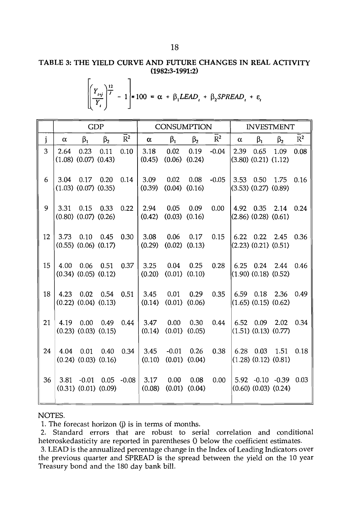### **TABLE 3: THE MELD CURVE AND FUTURE CHANGES IN REAL ACTIVITY (1982:3-1991:2)**

 $\overline{1}$ 

|  |  |  |  | $\left(\frac{Y_{i,j}}{Y_i}\right)^{\frac{12}{f}} - 1$ + 100 = $\alpha$ + $\beta_1$ LEAD <sub>i</sub> + $\beta_2$ SPREAD <sub>i</sub> + $\varepsilon_i$ |  |
|--|--|--|--|--------------------------------------------------------------------------------------------------------------------------------------------------------|--|
|--|--|--|--|--------------------------------------------------------------------------------------------------------------------------------------------------------|--|

|                |  | GDP                                           |                                                                                                                                                     |                                               |  | CONSUMPTION NIVESTMENT |  |                                                                                         |  |
|----------------|--|-----------------------------------------------|-----------------------------------------------------------------------------------------------------------------------------------------------------|-----------------------------------------------|--|------------------------|--|-----------------------------------------------------------------------------------------|--|
| j              |  | $\alpha$ $\beta_1$ $\beta_2$ $\overline{R}^2$ |                                                                                                                                                     | $\alpha$ $\beta_1$ $\beta_2$ $\overline{R}^2$ |  |                        |  | $\alpha$ $\beta_1$ $\beta_2$ $\bar{R}^2$                                                |  |
| 3 <sup>1</sup> |  |                                               | 2.64 0.23 0.11 0.10 3.18 0.02 0.19 -0.04 2.39 0.65 1.09 0.08<br>$(1.08)$ $(0.07)$ $(0.43)$ $(0.45)$ $(0.06)$ $(0.24)$                               |                                               |  |                        |  | $(3.80)$ $(0.21)$ $(1.12)$                                                              |  |
| 6              |  |                                               | $(1.03)$ $(0.07)$ $(0.35)$ $(0.39)$ $(0.04)$ $(0.16)$                                                                                               |                                               |  |                        |  | $(3.53)$ $(0.27)$ $(0.89)$                                                              |  |
| 9              |  |                                               | $(0.80)$ $(0.07)$ $(0.26)$ $(0.42)$ $(0.03)$ $(0.16)$                                                                                               |                                               |  |                        |  | $(2.86)$ $(0.28)$ $(0.61)$                                                              |  |
|                |  |                                               | 12 3.73 0.10 0.45 0.30 3.08 0.06 0.17 0.15 6.22 0.22 2.45 0.36<br>$(0.55)$ $(0.06)$ $(0.17)$ $(0.29)$ $(0.02)$ $(0.13)$                             |                                               |  |                        |  | $(2.23)$ $(0.21)$ $(0.51)$                                                              |  |
|                |  |                                               | 15 4.00 0.06 0.51 0.37 3.25 0.04 0.25 0.28 6.25 0.24 2.44 0.46<br>$(0.34)$ $(0.05)$ $(0.12)$ $(0.20)$ $(0.01)$ $(0.10)$                             |                                               |  |                        |  | $(1.90)$ $(0.18)$ $(0.52)$                                                              |  |
|                |  |                                               | 18 4.23 0.02 0.54 0.51 3.45 0.01 0.29 0.35<br>$(0.22)$ $(0.04)$ $(0.13)$ $(0.14)$ $(0.01)$ $(0.06)$                                                 |                                               |  |                        |  | $\begin{bmatrix} 6.59 & 0.18 & 2.36 & 0.49 \end{bmatrix}$<br>$(1.65)$ $(0.15)$ $(0.62)$ |  |
|                |  |                                               | $21$ 4.19 0.00 0.49 0.44 3.47 0.00 0.30 0.44 6.52 0.09 2.02 0.34<br>$(0.23)$ $(0.03)$ $(0.15)$ $(0.14)$ $(0.01)$ $(0.05)$                           |                                               |  |                        |  | $(1.51)$ $(0.13)$ $(0.77)$                                                              |  |
|                |  |                                               | 24   4.04 0.01 0.40 0.34   3.45 -0.01 0.26 0.38   6.28 0.03 1.51 0.18<br>$(0.24)$ $(0.03)$ $(0.16)$ $(0.10)$ $(0.01)$ $(0.04)$                      |                                               |  |                        |  | $(1.28)$ $(0.12)$ $(0.81)$                                                              |  |
| 36             |  |                                               | 3.81 -0.01 0.05 -0.08 3.17 0.00 0.08 0.00 5.92 -0.10 -0.39 0.03<br>$(0.31)$ $(0.01)$ $(0.09)$ $(0.08)$ $(0.01)$ $(0.04)$ $(0.60)$ $(0.03)$ $(0.24)$ |                                               |  |                        |  |                                                                                         |  |

#### NOTES.

1. The forecast horizon (j) is in terms of months.

2. Standard errors that are robust to serial correlation and conditional heteroskedasticity are reported in parentheses () below the coefficient estimates.

**3.** LEAD is the annualized percentage change in the Index of Leading Indicators over the previous quarter and SPREAD is the spread between the yield on the 10 year Treasury bond and the 180 day bank bill.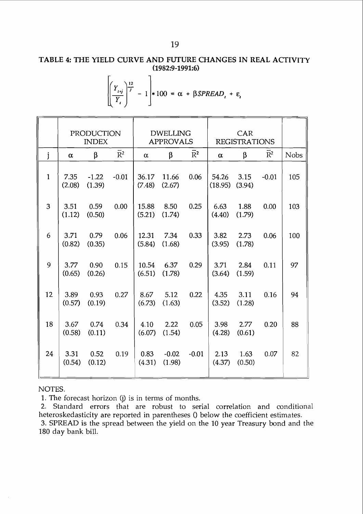### **TABLE 4: THE YIELD CURVE AND FUTURE CHANGES IN REAL ACTIVITY (1982:9-1991:6)**

|              |                | PRODUCTION<br><b>INDEX</b> |                  |                 | <b>DWELLING</b><br><b>APPROVALS</b> |                  | <b>REGISTRATIONS</b> |                |                  |             |
|--------------|----------------|----------------------------|------------------|-----------------|-------------------------------------|------------------|----------------------|----------------|------------------|-------------|
| j            | $\alpha$       | $\beta$                    | $\overline{R}^2$ | $\alpha$        | $\beta$                             | $\overline{R}^2$ | $\alpha$             | β              | $\overline{R}^2$ | <b>Nobs</b> |
| $\mathbf{1}$ | 7.35<br>(2.08) | $-1.22$<br>(1.39)          | $-0.01$          | 36.17<br>(7.48) | 11.66<br>(2.67)                     | 0.06             | 54.26<br>(18.95)     | 3.15<br>(3.94) | $-0.01$          | 105         |
| 3            | 3.51<br>(1.12) | 0.59<br>(0.50)             | 0.00             | 15.88<br>(5.21) | 8.50<br>(1.74)                      | 0.25             | 6.63 1.88<br>(4.40)  | (1.79)         | 0.00             | 103         |
| 6            | 3.71<br>(0.82) | 0.79<br>(0.35)             | 0.06             | 12.31<br>(5.84) | 7.34<br>(1.68)                      | 0.33             | 3.82<br>(3.95)       | 2.73<br>(1.78) | 0.06             | 100         |
| 9            | 3.77<br>(0.65) | 0.90<br>(0.26)             | 0.15             | 10.54<br>(6.51) | 6.37<br>(1.78)                      | 0.29             | 3.71<br>(3.64)       | 2.84<br>(1.59) | 0.11             | 97          |
| 12           | 3.89<br>(0.57) | 0.93<br>(0.19)             | 0.27             | 8.67<br>(6.73)  | 5.12<br>(1.63)                      | 0.22             | 4.35<br>(3.52)       | 3.11<br>(1.28) | 0.16             | 94          |
| 18           | 3.67<br>(0.58) | 0.74<br>(0.11)             | 0.34             | 4.10<br>(6.07)  | 2.22<br>(1.54)                      | 0.05             | 3.98<br>(4.28)       | 2.77<br>(0.61) | 0.20             | 88          |
| 24           | 3.31<br>(0.54) | 0.52<br>(0.12)             | 0.19             | 0.83<br>(4.31)  | $-0.02$<br>(1.98)                   | $-0.01$          | 2.13<br>(4.37)       | 1.63<br>(0.50) | 0.07             | 82          |

$$
\left(\frac{Y_{i+j}}{Y_i}\right)^{\frac{12}{f}} - 1 \left| *100 = \alpha + \beta \text{SPREAD}_i + \varepsilon_i \right|
$$

#### NOTES.

1. The forecast horizon (j) is in terms of months.

2. Standard errors that are robust to serial correlation and conditional heteroskedasticity are reported in parentheses () below the coefficient estimates. **3.** SPREAD is the spread between the yield on the 10 year Treasury bond and the 180 day bank bill.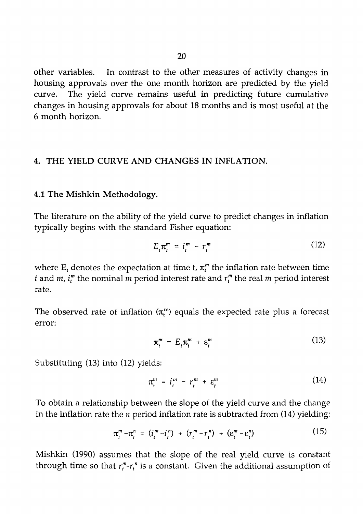other variables. In contrast to the other measures of activity changes in housing approvals over the one month horizon are predicted by the yield curve. The yield curve remains useful in predicting future cumulative changes in housing approvals for about **18** months and is most useful at the 6 month horizon.

### 4. THE YIELD CURVE AND CHANGES IN INFLATION.

### 4.1 The Mishkin Methodology.

The literature on the ability of the yield curve to predict changes in inflation typically begins with the standard Fisher equation:

$$
E_t \pi_t^m = i_t^m - r_t^m \tag{12}
$$

where  $E_t$  denotes the expectation at time t,  $\pi_t^m$  the inflation rate between time t and  $m$ ,  $i^m$ , the nominal *m* period interest rate and  $r^m$ , the real *m* period interest rate.

The observed rate of inflation  $(\pi_{\mathfrak{r}}^m)$  equals the expected rate plus a forecast error:

$$
\pi_i^m = E_i \pi_i^m + \varepsilon_i^m \tag{13}
$$

Substituting **(13)** into **(12)** yields:

$$
\pi_t^m = i_t^m - r_t^m + \varepsilon_t^m \tag{14}
$$

To obtain a relationship between the slope of the yield curve and the change in the inflation rate the n period inflation rate is subtracted from **(14)** yielding:

$$
\pi_t^m - \pi_t^n = (i_t^m - i_t^n) + (r_t^m - r_t^n) + (\varepsilon_t^m - \varepsilon_t^n)
$$
 (15)

Mishkin **(1990)** assumes that the slope of the real yield curve is constant through time so that  $r_t^m - r_t^n$  is a constant. Given the additional assumption of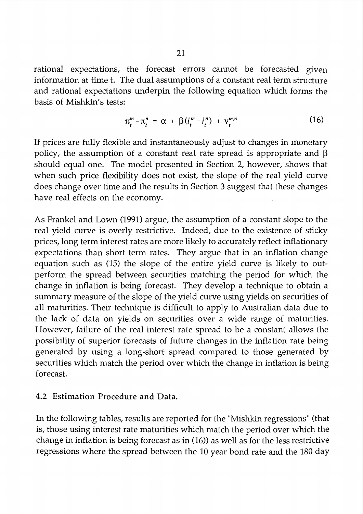rational expectations, the forecast errors cannot be forecasted given information at time t. The dual assumptions of a constant real term structure and rational expectations underpin the following equation which forms the basis of Mishkin's tests:

$$
\pi_t^m - \pi_t^n = \alpha + \beta (i_t^m - i_t^n) + \nu_t^{m,n}
$$
 (16)

If prices are fully flexible and instantaneously adjust to changes in monetary policy, the assumption of a constant real rate spread is appropriate and  $\beta$ should equal one. The model presented in Section 2, however, shows that when such price flexibility does not exist, the slope of the real yield curve does change over time and the results in Section **3** suggest that these changes have real effects on the economy.

As Frankel and Lown (1991) argue, the assumption of a constant slope to the real yield curve is overly restrictive. Indeed, due to the existence of sticky prices, long term interest rates are more likely to accurately reflect inflationary expectations than short term rates. They argue that in an inflation change equation such as (15) the slope of the entire yield curve is likely to outperform the spread between securities matching the period for which the change in inflation is being forecast. They develop a technique to obtain a summary measure of the slope of the yield curve using yields on securities of all maturities. Their technique is difficult to apply to Australian data due to the lack of data on yields on securities over a wide range of maturities. However, failure of the real interest rate spread to be a constant allows the possibility of superior forecasts of future changes in the inflation rate being generated by using a long-short spread compared to those generated by securities which match the period over which the change in inflation is being forecast.

### 4.2 Estimation Procedure and Data.

In the following tables, results are reported for the "Mishkin regressions" (that is, those using interest rate maturities which match the period over which the change in inflation is being forecast as in (16)) as well as for the less restrictive regressions where the spread between the 10 year bond rate and the 180 day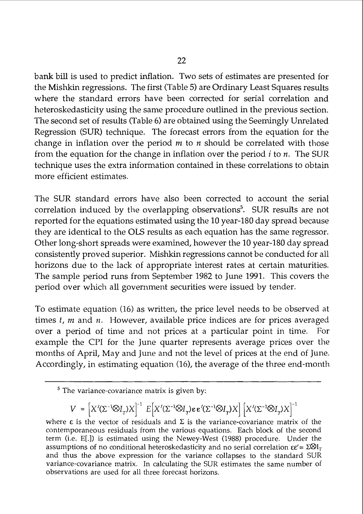bank bill is used to predict inflation. Two sets of estimates are presented for the Mishkin regressions. The first (Table 5) are Ordinary Least Squares results where the standard errors have been corrected for serial correlation and heteroskedasticity using the same procedure outlined in the previous section. The second set of results (Table 6) are obtained using the Seemingly Unrelated Regression (SUR) technique. The forecast errors from the equation for the change in inflation over the period **rn** to **n** should be correlated with those from the equation for the change in inflation over the period **i** to n. The SUR technique uses the extra information contained in these correlations to obtain more efficient estimates.

The SUR standard errors have also been corrected to account the serial correlation induced by the overlapping observations<sup>5</sup>. SUR results are not reported for the equations estimated using the 10 year-180 day spread because they are identical to the OLS results as each equation has the same regressor. Other long-short spreads were examined, however the 10 year-180 day spread consistently proved superior. Mishkin regressions cannot be conducted for all horizons due to the lack of appropriate interest rates at certain maturities. The sample period runs from September 1982 to June 1991. This covers the period over which all government securities were issued by tender.

To estimate equation (16) as written, the price level needs to be observed at times t, *m* and *n*. However, available price indices are for prices averaged over a period of time and not prices at a particular point in time. For example the CPI for the June quarter represents average prices over the months of April, May and June and not the level of prices at the end of June. Accordingly, in estimating equation (16), the average of the three end-month

 $V = \left[ X'(\Sigma^{-1} \otimes I_{\tau}) X \right]^{-1} E \left[ X'(\Sigma^{-1} \otimes I_{\tau}) \varepsilon \varepsilon'(\Sigma^{-1} \otimes I_{\tau}) X \right] \left[ X'(\Sigma^{-1} \otimes I_{\tau}) X \right]^{-1}$ 

 $<sup>5</sup>$  The variance-covariance matrix is given by:</sup>

where  $\varepsilon$  is the vector of residuals and  $\Sigma$  is the variance-covariance matrix of the contemporaneous residuals from the various equations. Each block of the second term (i.e. E[.]) is estimated using the Newey-West (1988) procedure. Under the assumptions of no conditional heteroskedasticity and no serial correlation  $\epsilon \epsilon = \Sigma \otimes I_T$ and thus the above expression for the variance collapses to the standard SUR variance-covariance matrix. In calculating the SUR estimates the same number of observations are used for all three forecast horizons.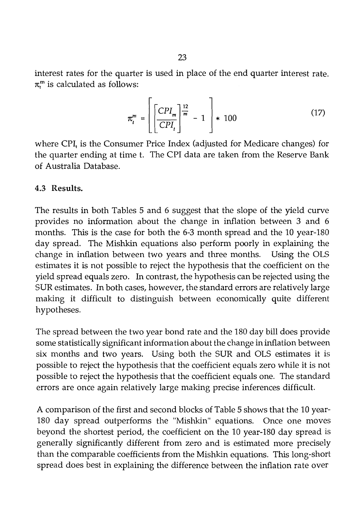interest rates for the quarter is used in place of the end quarter interest rate.  $\pi_{\epsilon}^{m}$  is calculated as follows:

$$
\pi_t^m = \left[ \left[ \frac{CPI_m}{CPI_t} \right]^{12} - 1 \right] \ast 100 \tag{17}
$$

where CPI, is the Consumer Price Index (adjusted for Medicare changes) for the quarter ending at time t. The CPI data are taken from the Reserve Bank of Australia Database.

### **4.3 Results.**

The results in both Tables 5 and **6** suggest that the slope of the yield curve provides no information about the change in inflation between **3** and **6**  months. This is the case for both the **6-3** month spread and the 10 year-180 day spread. The Mishkin equations also perform poorly in explaining the change in inflation between two years and three months. Using the OLS estimates it is not possible to reject the hypothesis that the coefficient on the yield spread equals zero. In contrast, the hypothesis can be rejected using the SUR estimates. In both cases, however, the standard errors are relatively large making it difficult to distinguish between economically quite different hypotheses.

The spread between the two year bond rate and the 180 day bill does provide some statistically significant informa tion about the change in inflation between six months and two years. Using both the SUR and OLS estimates it is possible to reject the hypothesis that the coefficient equals zero while it is not possible to reject the hypothesis that the coefficient equals one. The standard errors are once again relatively large making precise inferences difficult.

A comparison of the first and second blocks of Table 5 shows that the 10 year-180 day spread outperforms the "Mishkin" equations. Once one moves beyond the shortest period, the coefficient on the 10 year-180 day spread is generally significantly different from zero and is estimated more precisely than the comparable coefficients from the Mishkin equations. This long-short spread does best in explaining the difference between the inflation rate over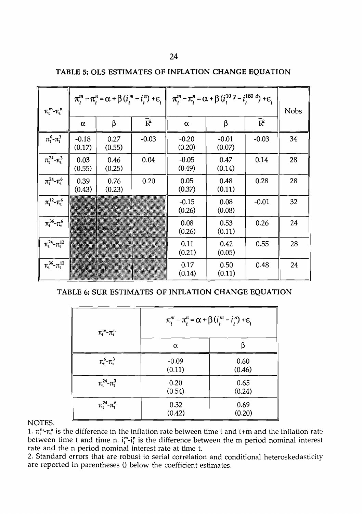| $\pi_t^m$ - $\pi_t^n$           |                   | $\pi_i^m - \pi_i^n = \alpha + \beta (i_i^m - i_i^n) + \varepsilon_i$ |                  | $\pi_i^m - \pi_i^n = \alpha + \beta (i_1^{10} y - i_1^{180} z) + \varepsilon_i$ | <b>Nobs</b>       |                           |    |
|---------------------------------|-------------------|----------------------------------------------------------------------|------------------|---------------------------------------------------------------------------------|-------------------|---------------------------|----|
|                                 | $\alpha$          | β                                                                    | $\overline{R}^2$ | $\alpha$                                                                        | β                 | $\overline{\mathbb{R}}^2$ |    |
| $\pi_{t}^{6}$ - $\pi_{t}^{3}$   | $-0.18$<br>(0.17) | 0.27<br>(0.55)                                                       | $-0.03$          | $-0.20$<br>(0.20)                                                               | $-0.01$<br>(0.07) | $-0.03$                   | 34 |
| $\pi_t^{24}$ - $\pi_t^3$        | 0.03<br>(0.55)    | 0.46<br>(0.25)                                                       | 0.04             | $-0.05$<br>(0.49)                                                               | 0.47<br>(0.14)    | 0.14                      | 28 |
| $\pi^{24}_{1}$ - $\pi^{6}_{1}$  | 0.39<br>(0.43)    | 0.76<br>(0.23)                                                       | 0.20             | 0.05<br>(0.37)                                                                  | 0.48<br>(0.11)    | 0.28                      | 28 |
| $\pi_{1}^{12}$ - $\pi_{1}^{6}$  |                   |                                                                      |                  | $-0.15$<br>(0.26)                                                               | 0.08<br>(0.08)    | $-0.01$                   | 32 |
| $\pi_{t}^{36}$ - $\pi_{t}^{6}$  |                   |                                                                      |                  | 0.08<br>(0.26)                                                                  | 0.53<br>(0.11)    | 0.26                      | 24 |
| $\pi_{t}^{24}$ - $\pi_{t}^{12}$ |                   |                                                                      |                  | 0.11<br>(0.21)                                                                  | 0.42<br>(0.05)    | 0.55                      | 28 |
| $\pi_{t}^{36}$ - $\pi_{t}^{12}$ |                   |                                                                      |                  | 0.17<br>(0.14)                                                                  | 0.50<br>(0.11)    | 0.48                      | 24 |

**TABLE 5: OLS ESTIMATES OF INFLATION CHANGE EQUATION** 

**TABLE 6: SUR ESTIMATES OF INFLATION CHANGE EQUATION** 

| $\pi_{t}^{m}$ - $\pi_{t}^{n}$  |                   | $\pi_i^m - \pi_i^n = \alpha + \beta (i_i^m - i_i^n) + \varepsilon_i$ |  |  |  |  |  |
|--------------------------------|-------------------|----------------------------------------------------------------------|--|--|--|--|--|
|                                | α                 | β                                                                    |  |  |  |  |  |
| $\pi_{t}^{6}$ - $\pi_{t}^{3}$  | $-0.09$<br>(0.11) | 0.60<br>(0.46)                                                       |  |  |  |  |  |
| $\pi^{24}_{1}$ - $\pi^{3}_{1}$ | 0.20<br>(0.54)    | 0.65<br>(0.24)                                                       |  |  |  |  |  |
| $\pi^{24}_{1}$ - $\pi^{6}_{1}$ | 0.32<br>(0.42)    | 0.69<br>(0.20)                                                       |  |  |  |  |  |

NOTES.

1.  $\pi_{\mathfrak{t}}^{\mathfrak{m}}$ - $\pi_{\mathfrak{t}}^{\mathfrak{n}}$  is the difference in the inflation rate between time t and t+m and the inflation rate between time t and time n.  $i_t^m - i_t^n$  is the difference between the m period nominal interest rate and the n period nominal interest rate at time t.

2. Standard errors that are robust to serial correlation and conditional heteroskedasticity are reported in parentheses *0* below the coefficient estimates.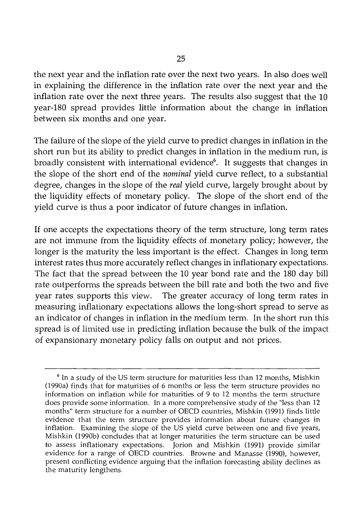the next year and the inflation rate over the next two years. In also does well in explaining the difference in the inflation rate over the next year and the inflation rate over the next three years. The results also suggest that the 10 year-180 spread provides little information about the change in inflation between six months and one year.

The failure of the slope of the yield curve to predict changes in inflation in the short run but its ability to predict changes in inflation in the medium run, is broadly consistent with international evidence<sup>6</sup>. It suggests that changes in the slope of the short end of the *nominal* yield curve reflect, to a substantial degree, changes in the slope of the *real* yield curve, largely brought about by the liquidity effects of monetary policy. The slope of the short end of the yield curve is thus a poor indicator of future changes in inflation.

If one accepts the expectations theory of the term structure, long term rates are not immune from the liquidity effects of monetary policy; however, the longer is the maturity the less important is the effect. Changes in long term interest rates thus more accurately reflect changes in inflationary expectations. The fact that the spread between the 10 year bond rate and the 180 day bill rate outperforms the spreads between the bill rate and both the two and five year rates supports this view. The greater accuracy of long term rates in measuring inflationary expectations allows the long-short spread to serve as an indicator of changes in inflation in the medium term. In the short run this spread is of limited use in predicting inflation because the bulk of the impact of expansionary monetary policy falls on output and not prices.

*<sup>6</sup>*In a study of the US term structure for maturities less than 12 months, Mishkin (1990a) finds that for maturities of 6 months or less the term structure provides no information on inflation while for maturities of 9 to 12 months the term structure does provide some information. In a more comprehensive study of the "less than 12 months" term structure for a number of OECD countries, Mishkin (1991) finds little evidence that the term structure provides information about future changes in inflation. Examining the slope of the US yield curve between one and five years, Mishkin (1990b) concludes that at longer maturities the term structure can be used to assess inflationary expectations. Jorion and Mishkin (1991) provide similar evidence for a range of OECD countries. Browne and Manasse (1990), however, present conflicting evidence arguing that the inflation forecasting ability declines as the maturity lengthens.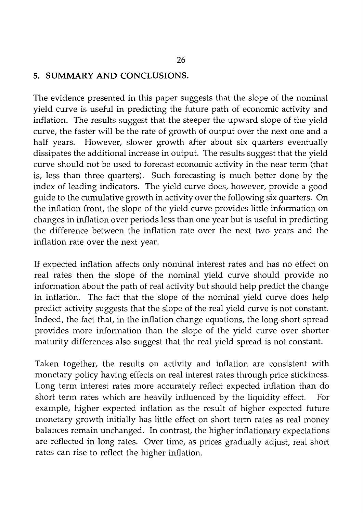### **5. SUMMARY AND CONCLUSIONS.**

The evidence presented in this paper suggests that the slope of the nominal yield curve is useful in predicting the future path of economic activity and inflation. The results suggest that the steeper the upward slope of the yield curve, the faster will be the rate of growth of output over the next one and a half years. However, slower growth after about six quarters eventually dissipates the additional increase in output. The results suggest that the yield curve should not be used to forecast economic activity in the near term (that is, less than three quarters). Such forecasting is much better done by the index of leading indicators. The yield curve does, however, provide a good guide to the cumulative growth in activity over the following six quarters. On the inflation front, the slope of the yield curve provides little information on changes in inflation over periods less than one year but is useful in predicting the difference between the inflation rate over the next two years and the inflation rate over the next year.

If expected inflation affects only nominal interest rates and has no effect on real rates then the slope of the nominal yield curve should provide no information about the path of real activity but should help predict the change in inflation. The fact that the slope of the nominal yield curve does help predict activity suggests that the slope of the real yield curve is not constant. Indeed, the fact that, in the inflation change equations, the long-short spread provides more information than the slope of the yield curve over shorter maturity differences also suggest that the real yield spread is not constant.

Taken together, the results on activity and inflation are consistent with monetary policy having effects on real interest rates through price stickiness. Long term interest rates more accurately reflect expected inflation than do short term rates which are heavily influenced by the liquidity effect. For example, higher expected inflation as the result of higher expected future monetary growth initially has little effect on short term rates as real money balances remain unchanged. In contrast, the higher inflationary expectations are reflected in long rates. Over time, as prices gradually adjust, real short rates can rise to reflect the higher inflation.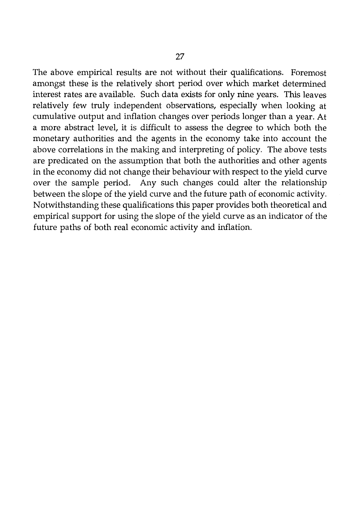The above empirical results are not without their qualifications. Foremost amongst these is the relatively short period over which market determined interest rates are available. Such data exists for only nine years. This leaves relatively few truly independent observations, especially when looking at cumulative output and inflation changes over periods longer than a year. At a more abstract level, it is difficult to assess the degree to which both the monetary authorities and the agents in the economy take into account the above correlations in the making and interpreting of policy. The above tests are predicated on the assumption that both the authorities and other agents in the economy did not change their behaviour with respect to the yield curve over the sample period. Any such changes could alter the relationship between the slope of the yield curve and the future path of economic activity. Notwithstanding these qualifications this paper provides both theoretical and empirical support for using the slope of the yield curve as an indicator of the future paths of both real economic activity and inflation.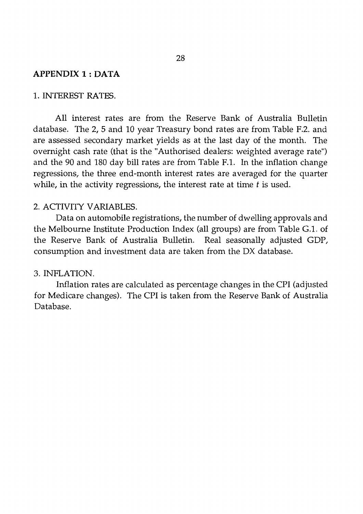### **APPENDIX 1** : **DATA**

#### 1. INTEREST RATES.

All interest rates are from the Reserve Bank of Australia Bulletin database. The 2, 5 and 10 year Treasury bond rates are from Table F.2. and are assessed secondary market yields as at the last day of the month. The overnight cash rate (that is the "Authorised dealers: weighted average rate") and the 90 and 180 day bill rates are from Table F.1. In the inflation change regressions, the three end-month interest rates are averaged for the quarter while, in the activity regressions, the interest rate at time  $t$  is used.

### 2. ACTIVITY VARIABLES.

Data on automobile registrations, the number of dwelling approvals and the Melbourne Institute Production Index (all groups) are from Table G.1. of the Reserve Bank of Australia Bulletin. Real seasonally adjusted GDP, consumption and investment data are taken from the DX database.

#### 3. INFLATION.

Inflation rates are calculated as percentage changes in the CPI (adjusted for Medicare changes). The CPI is taken from the Reserve Bank of Australia Database.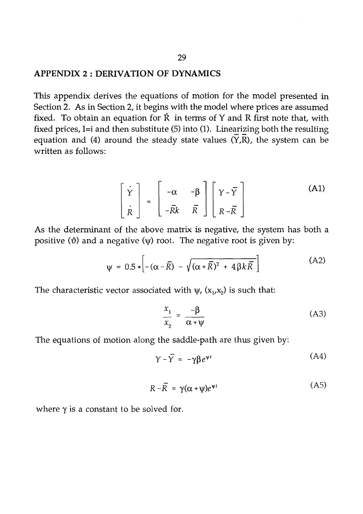#### APPENDIX 2 : DERIVATION OF DYNAMICS

This appendix derives the equations of motion for the model presented in Section 2. As in Section 2, it begins with the model where prices are assumed fixed. To obtain an equation for  $\dot{R}$  in terms of Y and R first note that, with fixed prices, I=i and then substitute  $(5)$  into  $(1)$ . Linearizing both the resulting equation and (4) around the steady state values  $(\overline{Y}, \overline{R})$ , the system can be written as follows:

$$
\begin{bmatrix} \dot{\Upsilon} \\ \dot{\varepsilon} \\ \dot{R} \end{bmatrix} = \begin{bmatrix} -\alpha & -\beta \\ -\overline{R}k & \overline{R} \end{bmatrix} \begin{bmatrix} \Upsilon - \overline{\Upsilon} \\ R - \overline{R} \end{bmatrix}
$$
 (A1)

As the determinant of the above matrix is negative, the system has both a positive ( $\vartheta$ ) and a negative ( $\psi$ ) root. The negative root is given by:

$$
\psi = 0.5 * \left[ -(\alpha - \overline{R}) - \sqrt{(\alpha + \overline{R})^2 + 4\beta k \overline{R}} \right]
$$
 (A2)

The characteristic vector associated with  $\psi$ , (x<sub>1</sub>,x<sub>2</sub>) is such that:

$$
\frac{x_1}{x_2} = \frac{-\beta}{\alpha + \psi} \tag{A3}
$$

The equations of motion along the saddle-path are thus given by:

$$
Y - \overline{Y} = -\gamma \beta e^{\psi t} \tag{A4}
$$

$$
R - \overline{R} = \gamma(\alpha + \psi)e^{\psi t} \tag{A5}
$$

where  $\gamma$  is a constant to be solved for.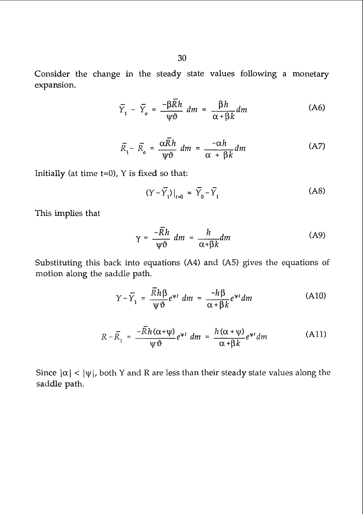Consider the change in the steady state values following a monetary expansion.

$$
\overline{Y}_1 - \overline{Y}_0 = \frac{-\beta \overline{R}h}{\psi \vartheta} dm = \frac{\beta h}{\alpha + \beta k} dm \tag{A6}
$$

$$
\overline{R}_1 - \overline{R}_o = \frac{\alpha \overline{R} h}{\psi \vartheta} dm = \frac{-\alpha h}{\alpha + \beta k} dm \tag{A7}
$$

Initially (at time  $t=0$ ), Y is fixed so that:

$$
(Y - \overline{Y}_1)|_{t=0} = \overline{Y}_0 - \overline{Y}_1
$$
 (A8)

This implies that

$$
\gamma = \frac{-\bar{R}h}{\psi \vartheta} dm = \frac{h}{\alpha + \beta k} dm \tag{A9}
$$

Substituting this back into equations (A4) and (A5) gives the equations of motion along the saddle path.

$$
Y - \overline{Y}_1 = \frac{\overline{R}h\beta}{\psi\vartheta}e^{\psi t} dm = \frac{-h\beta}{\alpha + \beta k}e^{\psi t} dm
$$
 (A10)

$$
R - \overline{R}_1 = \frac{-\overline{R}h(\alpha + \psi)}{\psi \vartheta} e^{\psi t} dm = \frac{h(\alpha + \psi)}{\alpha + \beta k} e^{\psi t} dm
$$
 (A11)

Since  $|\alpha| < |\psi|$ , both Y and R are less than their steady state values along the saddle path.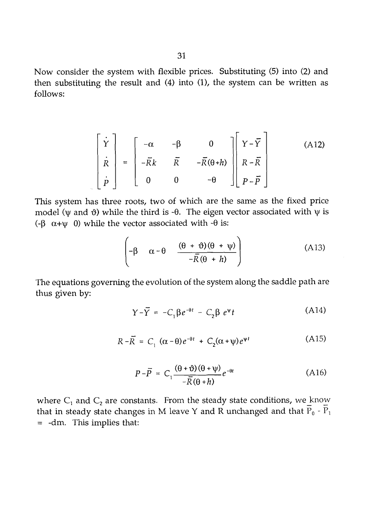Now consider the system with flexible prices. Substituting (5) into (2) and then substituting the result and **(4)** into (I), the system can be written as follows:

$$
\begin{bmatrix}\n\dot{Y} \\
\dot{R} \\
\dot{P}\n\end{bmatrix} = \begin{bmatrix}\n-\alpha & -\beta & 0 \\
-\overline{R}k & \overline{R} & -\overline{R}(\theta + h) \\
0 & 0 & -\theta\n\end{bmatrix} \begin{bmatrix}\nY - \overline{Y} \\
R - \overline{R} \\
P - \overline{P}\n\end{bmatrix}
$$
\n(A12)

This system has three roots, two of which are the same as the fixed price model ( $\psi$  and  $\vartheta$ ) while the third is - $\theta$ . The eigen vector associated with  $\psi$  is (- $\beta$   $\alpha+\psi$  0) while the vector associated with - $\theta$  is:

$$
\begin{pmatrix}\n-\beta & \alpha - \theta & \frac{(\theta + \vartheta)(\theta + \psi)}{-\overline{R}(\theta + h)}\n\end{pmatrix}
$$
\n(A13)

The equations governing the evolution of the system along the saddle path are thus given by:

$$
Y - \overline{Y} = -C_1 \beta e^{-\theta t} - C_2 \beta e^{\Psi t}
$$
 (A14)

$$
R - \overline{R} = C_1 (\alpha - \theta) e^{-\theta t} + C_2 (\alpha + \psi) e^{\psi t}
$$
 (A15)

$$
P - \overline{P} = C_1 \frac{(\theta + \vartheta)(\theta + \psi)}{-\overline{R}(\theta + h)} e^{-\theta t}
$$
 (A16)

where  $C_1$  and  $C_2$  are constants. From the steady state conditions, we know that in steady state changes in M leave Y and R unchanged and that  $\overline{P}_0$  -  $\overline{P}_1$ = -dm. This implies that: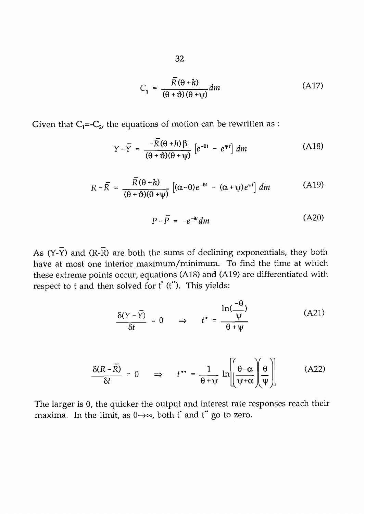$$
C_1 = \frac{\overline{R}(\theta + h)}{(\theta + \vartheta)(\theta + \psi)} dm
$$
 (A17)

Given that  $C_1 = -C_2$ , the equations of motion can be rewritten as :

$$
Y - \overline{Y} = \frac{-R(\theta + h)\beta}{(\theta + \vartheta)(\theta + \psi)} \left[ e^{-\theta t} - e^{\psi t} \right] dm \tag{A18}
$$

$$
R - \overline{R} = \frac{\overline{R}(\theta + h)}{(\theta + \vartheta)(\theta + \psi)} \left[ (\alpha - \theta) e^{-\theta t} - (\alpha + \psi) e^{\psi t} \right] dm \tag{A19}
$$

$$
P - \overline{P} = -e^{-\theta t} dm \tag{A20}
$$

As (Y- $\overline{Y}$ ) and (R- $\overline{R}$ ) are both the sums of declining exponentials, they both have at most one interior maximum/minimum. To find the time at which these extreme points occur, equations (A18) and (A19) are differentiated with respect to t and then solved for  $t^*$  ( $t^*$ ). This yields:

$$
\frac{\delta(Y-\bar{Y})}{\delta t} = 0 \qquad \Rightarrow \qquad t^* = \frac{\ln(\frac{-\theta}{\psi})}{\theta + \psi} \tag{A21}
$$

$$
\frac{\delta(R-\overline{R})}{\delta t} = 0 \qquad \Rightarrow \qquad t^{\bullet\bullet} = \frac{1}{\theta+\psi} \ln \left[ \left( \frac{\theta-\alpha}{\psi+\alpha} \right) \left( \frac{\theta}{\psi} \right) \right] \tag{A22}
$$

The larger is  $\theta$ , the quicker the output and interest rate responses reach their maxima. In the limit, as  $\theta \rightarrow \infty$ , both t' and t" go to zero.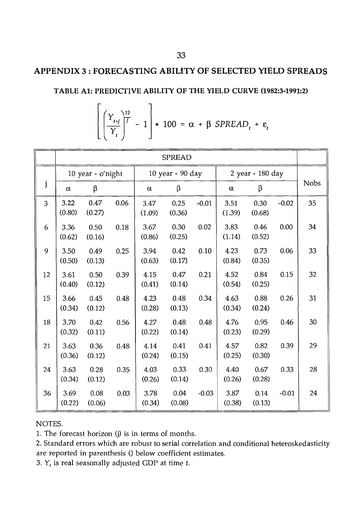### **APPENDIX 3** : **FORECASTING ABILITY OF SELECTED MELD SPREADS**

#### **TABLE Al: PREDICTIVE ABILITY OF THE MELD CURVE (19823-1991:2)**

|  |  |  |  |  |  | $\left[\left(\frac{Y_{t+j}}{Y_t}\right)^{12} - 1\right] * 100 = \alpha + \beta \text{ SPREAD}_t + \varepsilon_t$ |  |  |
|--|--|--|--|--|--|------------------------------------------------------------------------------------------------------------------|--|--|
|--|--|--|--|--|--|------------------------------------------------------------------------------------------------------------------|--|--|

|    |                |                   |      |                | <b>SPREAD</b>    |         |                |                  |         |             |
|----|----------------|-------------------|------|----------------|------------------|---------|----------------|------------------|---------|-------------|
|    |                | 10 year - o'night |      |                | 10 year - 90 day |         |                | 2 year - 180 day |         |             |
| j  | $\alpha$       | β                 |      | $\alpha$       | β                |         | $\alpha$       | β                |         | <b>Nobs</b> |
| 3  | 3.22<br>(0.80) | 0.47<br>(0.27)    | 0.06 | 3.47<br>(1.09) | 0.25<br>(0.36)   | $-0.01$ | 3.51<br>(1.39) | 0.30<br>(0.68)   | $-0.02$ | 35          |
| 6  | 3.36<br>(0.62) | 0.50<br>(0.16)    | 0.18 | 3.67<br>(0.86) | 0.30<br>(0.25)   | 0.02    | 3.83<br>(1.14) | 0.46<br>(0.52)   | 0.00    | 34          |
| 9  | 3.50<br>(0.50) | 0.49<br>(0.13)    | 0.25 | 3.94<br>(0.63) | 0.42<br>(0.17)   | 0.10    | 4.23<br>(0.84) | 0.73<br>(0.35)   | 0.06    | 33          |
| 12 | 3.61<br>(0.40) | 0.50<br>(0.12)    | 0.39 | 4.15<br>(0.41) | 0.47<br>(0.14)   | 0.21    | 4.52<br>(0.54) | 0.84<br>(0.25)   | 0.15    | 32          |
| 15 | 3.66<br>(0.34) | 0.45<br>(0.12)    | 0.48 | 4.23<br>(0.28) | 0.48<br>(0.13)   | 0.34    | 4.63<br>(0.34) | 0.88<br>(0.24)   | 0.26    | 31          |
| 18 | 3.70<br>(0.32) | 0.42<br>(0.11)    | 0.56 | 4.27<br>(0.22) | 0.48<br>(0.14)   | 0.48    | 4.76<br>(0.23) | 0.95<br>(0.29)   | 0.46    | 30          |
| 21 | 3.63<br>(0.36) | 0.36<br>(0.12)    | 0.48 | 4.14<br>(0.24) | 0.41<br>(0.15)   | 0.41    | 4.57<br>(0.25) | 0.82<br>(0.30)   | 0.39    | 29          |
| 24 | 3.63<br>(0.34) | 0.28<br>(0.12)    | 0.35 | 4.03<br>(0.26) | 0.33<br>(0.14)   | 0.30    | 4.40<br>(0.26) | 0.67<br>(0.28)   | 0.33    | 28          |
| 36 | 3.69<br>(0.22) | 0.08<br>(0.06)    | 0.03 | 3.78<br>(0.34) | 0.04<br>(0.08)   | $-0.03$ | 3.87<br>(0.38) | 0.14<br>(0.13)   | $-0.01$ | 24          |

#### NOTES.

1. The forecast horizon (j) is in terms of months.

2. Standard errors which are robust to serial correlation and conditional heteroskedasticity are reported in parenthesis () below coefficient estimates.

3.  $Y_t$  is real seasonally adjusted GDP at time  $t$ .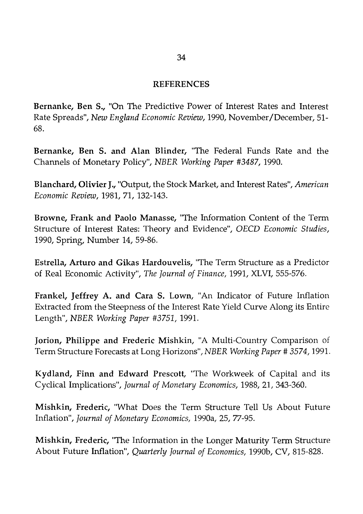### **REFERENCES**

**Bernanke, Ben S.,** "On The Predictive Power of Interest Rates and Interest Rate Spreads", New England Economic Review, 1990, November/December, 51- 68.

**Bernanke, Ben S. and Alan Blinder,** "The Federal Funds Rate and the Channels of Monetary Policy", NBER Working Paper #3487, 1990.

**Blanchard, Olivier J.,** "Output, the Stock Market, and Interest Rates", American Economic Review, 1981, 71, 132-143.

**Browne, Frank and Paolo Manasse,** "The Information Content of the Term Structure of Interest Rates: Theory and Evidence", OECD Economic Studies, 1990, Spring, Number 14, 59-86.

**Estrella, Arturo and Gikas Hardouvelis,** "The Term Structure as a Predictor of Real Economic Activity", The Journal of Finance, 1991, XLVI, 555-576.

**Frankel, Jeffrey A. and Cara S.** Lown, "An Indicator of Future Inflation Extracted from the Steepness of the Interest Rate Yield Curve Along its Entire Length", NBER Working Paper #3751, 1991.

**Jorion, Philippe and Frederic Mishkin,** "A Multi-Country Comparison of Term Structure Forecasts at Long Horizons", NBER Working Paper # 3574,1991.

**Kydland, Finn and Edward Prescott,** "The Workweek of Capital and its Cyclical Implications", Journal of Monetary Economics, 1988, 21, 343-360.

**Mishkin, Frederic,** "What Does the Term Structure Tell Us About Future Inflation", Journal of Monetary Economics, 1990a, 25, 77-95.

**Mishkin, Frederic,** "The Information **in** the Longer Maturity Term Structure About Future Inflation", Quarterly Journal of Economics, 1990b, CV, 815-828.